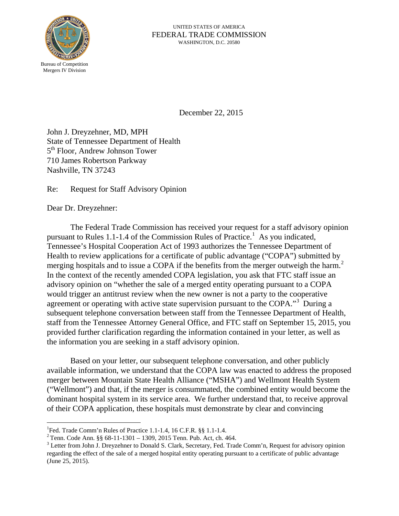

December 22, 2015

John J. Dreyzehner, MD, MPH State of Tennessee Department of Health 5<sup>th</sup> Floor, Andrew Johnson Tower 710 James Robertson Parkway Nashville, TN 37243

Re: Request for Staff Advisory Opinion

Dear Dr. Dreyzehner:

The Federal Trade Commission has received your request for a staff advisory opinion pursuant to Rules [1](#page-0-0).1-1.4 of the Commission Rules of Practice.<sup>1</sup> As you indicated, Tennessee's Hospital Cooperation Act of 1993 authorizes the Tennessee Department of Health to review applications for a certificate of public advantage ("COPA") submitted by merging hospitals and to issue a COPA if the benefits from the merger outweigh the harm.<sup>[2](#page-0-1)</sup> In the context of the recently amended COPA legislation, you ask that FTC staff issue an advisory opinion on "whether the sale of a merged entity operating pursuant to a COPA would trigger an antitrust review when the new owner is not a party to the cooperative agreement or operating with active state supervision pursuant to the COPA."<sup>[3](#page-0-2)</sup> During a subsequent telephone conversation between staff from the Tennessee Department of Health, staff from the Tennessee Attorney General Office, and FTC staff on September 15, 2015, you provided further clarification regarding the information contained in your letter, as well as the information you are seeking in a staff advisory opinion.

Based on your letter, our subsequent telephone conversation, and other publicly available information, we understand that the COPA law was enacted to address the proposed merger between Mountain State Health Alliance ("MSHA") and Wellmont Health System ("Wellmont") and that, if the merger is consummated, the combined entity would become the dominant hospital system in its service area. We further understand that, to receive approval of their COPA application, these hospitals must demonstrate by clear and convincing

<sup>|&</sup>lt;br>|<br>|

<span id="page-0-2"></span><span id="page-0-1"></span>

<span id="page-0-0"></span><sup>&</sup>lt;sup>1</sup>Fed. Trade Comm'n Rules of Practice 1.1-1.4, 16 C.F.R. §§ 1.1-1.4.<br>
<sup>2</sup> Tenn. Code Ann. §§ 68-11-1301 – 1309, 2015 Tenn. Pub. Act, ch. 464.<br>
<sup>3</sup> Letter from John J. Dreyzehner to Donald S. Clark, Secretary, Fed. Trade regarding the effect of the sale of a merged hospital entity operating pursuant to a certificate of public advantage (June 25, 2015).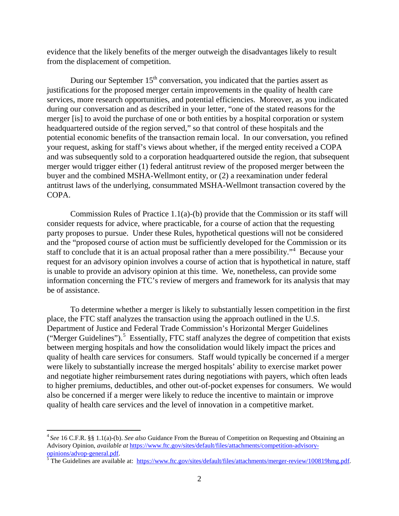evidence that the likely benefits of the merger outweigh the disadvantages likely to result from the displacement of competition.

During our September  $15<sup>th</sup>$  conversation, you indicated that the parties assert as justifications for the proposed merger certain improvements in the quality of health care services, more research opportunities, and potential efficiencies. Moreover, as you indicated during our conversation and as described in your letter, "one of the stated reasons for the merger [is] to avoid the purchase of one or both entities by a hospital corporation or system headquartered outside of the region served," so that control of these hospitals and the potential economic benefits of the transaction remain local. In our conversation, you refined your request, asking for staff's views about whether, if the merged entity received a COPA and was subsequently sold to a corporation headquartered outside the region, that subsequent merger would trigger either (1) federal antitrust review of the proposed merger between the buyer and the combined MSHA-Wellmont entity, or (2) a reexamination under federal antitrust laws of the underlying, consummated MSHA-Wellmont transaction covered by the COPA.

Commission Rules of Practice 1.1(a)-(b) provide that the Commission or its staff will consider requests for advice, where practicable, for a course of action that the requesting party proposes to pursue. Under these Rules, hypothetical questions will not be considered and the "proposed course of action must be sufficiently developed for the Commission or its staff to conclude that it is an actual proposal rather than a mere possibility."[4](#page-1-0) Because your request for an advisory opinion involves a course of action that is hypothetical in nature, staff is unable to provide an advisory opinion at this time. We, nonetheless, can provide some information concerning the FTC's review of mergers and framework for its analysis that may be of assistance.

To determine whether a merger is likely to substantially lessen competition in the first place, the FTC staff analyzes the transaction using the approach outlined in the U.S. Department of Justice and Federal Trade Commission's Horizontal Merger Guidelines ("Merger Guidelines").<sup>[5](#page-1-1)</sup> Essentially, FTC staff analyzes the degree of competition that exists between merging hospitals and how the consolidation would likely impact the prices and quality of health care services for consumers. Staff would typically be concerned if a merger were likely to substantially increase the merged hospitals' ability to exercise market power and negotiate higher reimbursement rates during negotiations with payers, which often leads to higher premiums, deductibles, and other out-of-pocket expenses for consumers. We would also be concerned if a merger were likely to reduce the incentive to maintain or improve quality of health care services and the level of innovation in a competitive market.

<span id="page-1-0"></span> <sup>4</sup> *See* 16 C.F.R. §§ 1.1(a)-(b). *See also* Guidance From the Bureau of Competition on Requesting and Obtaining an Advisory Opinion, *available at* https://www.ftc.gov/sites/default/files/attachments/competition-advisory-<br>opinions/advop-general.pdf.

<span id="page-1-1"></span> $\frac{1}{5}$  $\frac{1}{5}$  $\frac{1}{5}$ The Guidelines are available at: https://www.ftc.gov/sites/default/files/attachments/merger-review/100819hmg.pdf.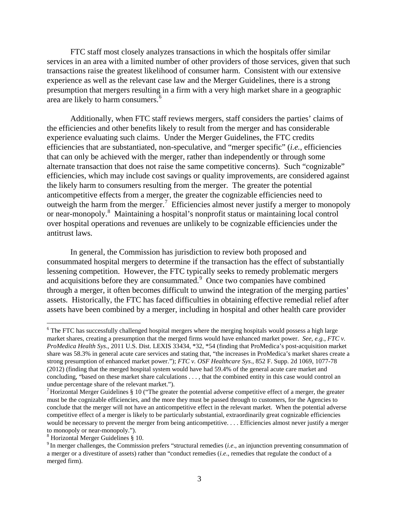FTC staff most closely analyzes transactions in which the hospitals offer similar services in an area with a limited number of other providers of those services, given that such transactions raise the greatest likelihood of consumer harm. Consistent with our extensive experience as well as the relevant case law and the Merger Guidelines, there is a strong presumption that mergers resulting in a firm with a very high market share in a geographic area are likely to harm consumers.<sup>[6](#page-2-0)</sup>

Additionally, when FTC staff reviews mergers, staff considers the parties' claims of the efficiencies and other benefits likely to result from the merger and has considerable experience evaluating such claims. Under the Merger Guidelines, the FTC credits efficiencies that are substantiated, non-speculative, and "merger specific" (*i.e.*, efficiencies that can only be achieved with the merger, rather than independently or through some alternate transaction that does not raise the same competitive concerns). Such "cognizable" efficiencies, which may include cost savings or quality improvements, are considered against the likely harm to consumers resulting from the merger. The greater the potential anticompetitive effects from a merger, the greater the cognizable efficiencies need to outweigh the harm from the merger.<sup>[7](#page-2-1)</sup> Efficiencies almost never justify a merger to monopoly or near-monopoly.<sup>[8](#page-2-2)</sup> Maintaining a hospital's nonprofit status or maintaining local control over hospital operations and revenues are unlikely to be cognizable efficiencies under the antitrust laws.

In general, the Commission has jurisdiction to review both proposed and consummated hospital mergers to determine if the transaction has the effect of substantially lessening competition. However, the FTC typically seeks to remedy problematic mergers and acquisitions before they are consummated. $9$  Once two companies have combined through a merger, it often becomes difficult to unwind the integration of the merging parties' assets. Historically, the FTC has faced difficulties in obtaining effective remedial relief after assets have been combined by a merger, including in hospital and other health care provider

<span id="page-2-0"></span><sup>&</sup>lt;sup>6</sup> The FTC has successfully challenged hospital mergers where the merging hospitals would possess a high large market shares, creating a presumption that the merged firms would have enhanced market power. *See, e.g.*, *FTC v. ProMedica Health Sys*., 2011 U.S. Dist. LEXIS 33434, \*32, \*54 (finding that ProMedica's post-acquisition market share was 58.3% in general acute care services and stating that, "the increases in ProMedica's market shares create a strong presumption of enhanced market power."); *FTC v. OSF Healthcare Sys*., 852 F. Supp. 2d 1069, 1077-78 (2012) (finding that the merged hospital system would have had 59.4% of the general acute care market and concluding, "based on these market share calculations . . . , that the combined entity in this case would control an undue percentage share of the relevant market.").<br><sup>7</sup> Horizontal Merger Guidelines § 10 ("The greater the potential adverse competitive effect of a merger, the greater

<span id="page-2-1"></span>must be the cognizable efficiencies, and the more they must be passed through to customers, for the Agencies to conclude that the merger will not have an anticompetitive effect in the relevant market. When the potential adverse competitive effect of a merger is likely to be particularly substantial, extraordinarily great cognizable efficiencies would be necessary to prevent the merger from being anticompetitive. . . . Efficiencies almost never justify a merger to monopoly or near-monopoly.").<br><sup>8</sup> Horizontal Merger Guidelines § 10.

<span id="page-2-2"></span>

<span id="page-2-3"></span><sup>&</sup>lt;sup>9</sup> In merger challenges, the Commission prefers "structural remedies (*i.e.*, an injunction preventing consummation of a merger or a divestiture of assets) rather than "conduct remedies (*i.e*., remedies that regulate the conduct of a merged firm).